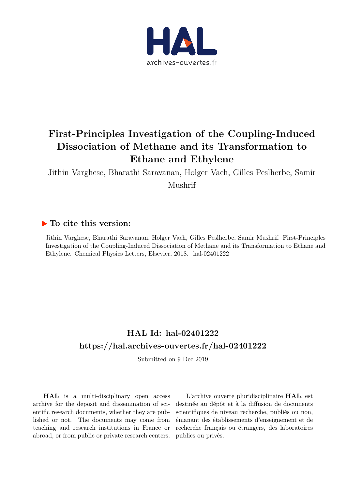

## **First-Principles Investigation of the Coupling-Induced Dissociation of Methane and its Transformation to Ethane and Ethylene**

Jithin Varghese, Bharathi Saravanan, Holger Vach, Gilles Peslherbe, Samir Mushrif

### **To cite this version:**

Jithin Varghese, Bharathi Saravanan, Holger Vach, Gilles Peslherbe, Samir Mushrif. First-Principles Investigation of the Coupling-Induced Dissociation of Methane and its Transformation to Ethane and Ethylene. Chemical Physics Letters, Elsevier, 2018. hal-02401222

## **HAL Id: hal-02401222 https://hal.archives-ouvertes.fr/hal-02401222**

Submitted on 9 Dec 2019

**HAL** is a multi-disciplinary open access archive for the deposit and dissemination of scientific research documents, whether they are published or not. The documents may come from teaching and research institutions in France or abroad, or from public or private research centers.

L'archive ouverte pluridisciplinaire **HAL**, est destinée au dépôt et à la diffusion de documents scientifiques de niveau recherche, publiés ou non, émanant des établissements d'enseignement et de recherche français ou étrangers, des laboratoires publics ou privés.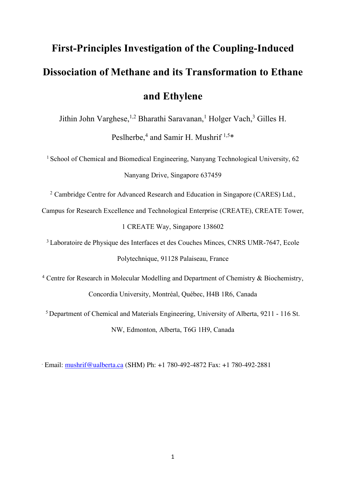# **First-Principles Investigation of the Coupling-Induced Dissociation of Methane and its Transformation to Ethane and Ethylene**

Jithin John Varghese,<sup>1,2</sup> Bharathi Saravanan,<sup>1</sup> Holger Vach,<sup>3</sup> Gilles H.

Peslherbe,<sup>4</sup> and Samir H. Mushrif<sup>1,5\*</sup>

<sup>1</sup> School of Chemical and Biomedical Engineering, Nanyang Technological University, 62 Nanyang Drive, Singapore 637459

<sup>2</sup> Cambridge Centre for Advanced Research and Education in Singapore (CARES) Ltd.,

Campus for Research Excellence and Technological Enterprise (CREATE), CREATE Tower, 1 CREATE Way, Singapore 138602

<sup>3</sup> Laboratoire de Physique des Interfaces et des Couches Minces, CNRS UMR-7647, Ecole Polytechnique, 91128 Palaiseau, France

<sup>4</sup> Centre for Research in Molecular Modelling and Department of Chemistry & Biochemistry, Concordia University, Montréal, Québec, H4B 1R6, Canada

<sup>5</sup> Department of Chemical and Materials Engineering, University of Alberta, 9211 - 116 St. NW, Edmonton, Alberta, T6G 1H9, Canada

\* Email: mushrif@ualberta.ca (SHM) Ph: +1 780-492-4872 Fax: +1 780-492-2881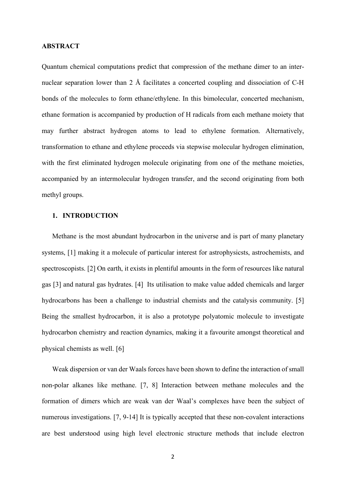#### **ABSTRACT**

Quantum chemical computations predict that compression of the methane dimer to an internuclear separation lower than 2 Å facilitates a concerted coupling and dissociation of C-H bonds of the molecules to form ethane/ethylene. In this bimolecular, concerted mechanism, ethane formation is accompanied by production of H radicals from each methane moiety that may further abstract hydrogen atoms to lead to ethylene formation. Alternatively, transformation to ethane and ethylene proceeds via stepwise molecular hydrogen elimination, with the first eliminated hydrogen molecule originating from one of the methane moieties, accompanied by an intermolecular hydrogen transfer, and the second originating from both methyl groups.

#### **1. INTRODUCTION**

Methane is the most abundant hydrocarbon in the universe and is part of many planetary systems, [1] making it a molecule of particular interest for astrophysicsts, astrochemists, and spectroscopists. [2] On earth, it exists in plentiful amounts in the form of resources like natural gas [3] and natural gas hydrates. [4] Its utilisation to make value added chemicals and larger hydrocarbons has been a challenge to industrial chemists and the catalysis community. [5] Being the smallest hydrocarbon, it is also a prototype polyatomic molecule to investigate hydrocarbon chemistry and reaction dynamics, making it a favourite amongst theoretical and physical chemists as well. [6]

Weak dispersion or van der Waals forces have been shown to define the interaction of small non-polar alkanes like methane. [7, 8] Interaction between methane molecules and the formation of dimers which are weak van der Waal's complexes have been the subject of numerous investigations. [7, 9-14] It is typically accepted that these non-covalent interactions are best understood using high level electronic structure methods that include electron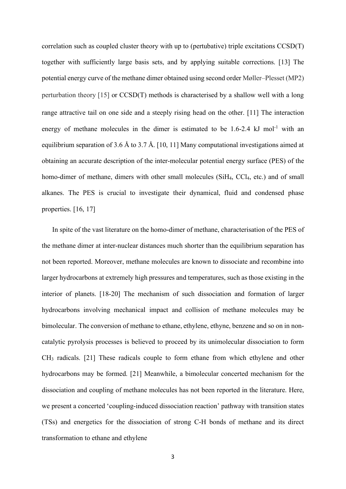correlation such as coupled cluster theory with up to (pertubative) triple excitations CCSD(T) together with sufficiently large basis sets, and by applying suitable corrections. [13] The potential energy curve of the methane dimer obtained using second order Møller–Plesset (MP2) perturbation theory [15] or CCSD(T) methods is characterised by a shallow well with a long range attractive tail on one side and a steeply rising head on the other. [11] The interaction energy of methane molecules in the dimer is estimated to be  $1.6-2.4 \text{ kJ}$  mol<sup>-1</sup> with an equilibrium separation of 3.6 Å to 3.7 Å. [10, 11] Many computational investigations aimed at obtaining an accurate description of the inter-molecular potential energy surface (PES) of the homo-dimer of methane, dimers with other small molecules (SiH<sub>4</sub>, CCl<sub>4</sub>, etc.) and of small alkanes. The PES is crucial to investigate their dynamical, fluid and condensed phase properties. [16, 17]

In spite of the vast literature on the homo-dimer of methane, characterisation of the PES of the methane dimer at inter-nuclear distances much shorter than the equilibrium separation has not been reported. Moreover, methane molecules are known to dissociate and recombine into larger hydrocarbons at extremely high pressures and temperatures, such as those existing in the interior of planets. [18-20] The mechanism of such dissociation and formation of larger hydrocarbons involving mechanical impact and collision of methane molecules may be bimolecular. The conversion of methane to ethane, ethylene, ethyne, benzene and so on in noncatalytic pyrolysis processes is believed to proceed by its unimolecular dissociation to form CH3 radicals. [21] These radicals couple to form ethane from which ethylene and other hydrocarbons may be formed. [21] Meanwhile, a bimolecular concerted mechanism for the dissociation and coupling of methane molecules has not been reported in the literature. Here, we present a concerted 'coupling-induced dissociation reaction' pathway with transition states (TSs) and energetics for the dissociation of strong C-H bonds of methane and its direct transformation to ethane and ethylene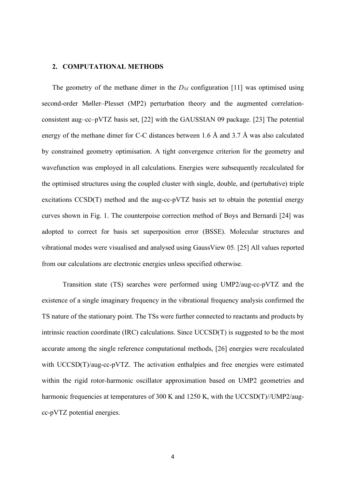#### **2. COMPUTATIONAL METHODS**

The geometry of the methane dimer in the  $D_{3d}$  configuration [11] was optimised using second-order Møller–Plesset (MP2) perturbation theory and the augmented correlationconsistent aug–cc–pVTZ basis set, [22] with the GAUSSIAN 09 package. [23] The potential energy of the methane dimer for C-C distances between 1.6 Å and 3.7 Å was also calculated by constrained geometry optimisation. A tight convergence criterion for the geometry and wavefunction was employed in all calculations. Energies were subsequently recalculated for the optimised structures using the coupled cluster with single, double, and (pertubative) triple excitations CCSD(T) method and the aug-cc-pVTZ basis set to obtain the potential energy curves shown in Fig. 1. The counterpoise correction method of Boys and Bernardi [24] was adopted to correct for basis set superposition error (BSSE). Molecular structures and vibrational modes were visualised and analysed using GaussView 05. [25] All values reported from our calculations are electronic energies unless specified otherwise.

Transition state (TS) searches were performed using UMP2/aug-cc-pVTZ and the existence of a single imaginary frequency in the vibrational frequency analysis confirmed the TS nature of the stationary point. The TSs were further connected to reactants and products by intrinsic reaction coordinate (IRC) calculations. Since UCCSD(T) is suggested to be the most accurate among the single reference computational methods, [26] energies were recalculated with UCCSD(T)/aug-cc-pVTZ. The activation enthalpies and free energies were estimated within the rigid rotor-harmonic oscillator approximation based on UMP2 geometries and harmonic frequencies at temperatures of 300 K and 1250 K, with the UCCSD(T)//UMP2/augcc-pVTZ potential energies.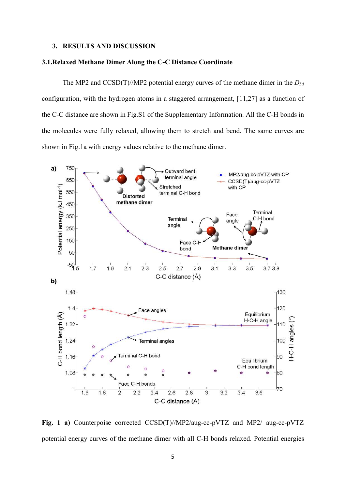#### **3. RESULTS AND DISCUSSION**

#### **3.1.Relaxed Methane Dimer Along the C-C Distance Coordinate**

The MP2 and CCSD(T)//MP2 potential energy curves of the methane dimer in the *D3d* configuration, with the hydrogen atoms in a staggered arrangement, [11,27] as a function of the C-C distance are shown in Fig.S1 of the Supplementary Information. All the C-H bonds in the molecules were fully relaxed, allowing them to stretch and bend. The same curves are shown in Fig.1a with energy values relative to the methane dimer.



**Fig. 1 a)** Counterpoise corrected CCSD(T)//MP2/aug-cc-pVTZ and MP2/ aug-cc-pVTZ potential energy curves of the methane dimer with all C-H bonds relaxed. Potential energies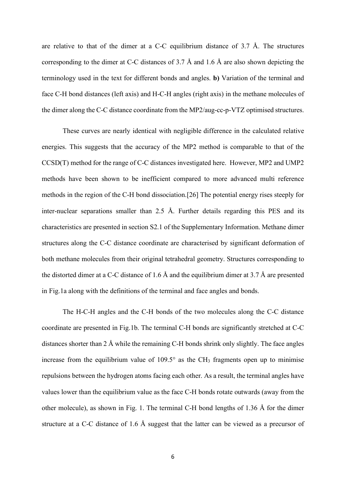are relative to that of the dimer at a C-C equilibrium distance of 3.7 Å. The structures corresponding to the dimer at C-C distances of 3.7 Å and 1.6 Å are also shown depicting the terminology used in the text for different bonds and angles. **b)** Variation of the terminal and face C-H bond distances (left axis) and H-C-H angles (right axis) in the methane molecules of the dimer along the C-C distance coordinate from the MP2/aug-cc-p-VTZ optimised structures.

These curves are nearly identical with negligible difference in the calculated relative energies. This suggests that the accuracy of the MP2 method is comparable to that of the CCSD(T) method for the range of C-C distances investigated here. However, MP2 and UMP2 methods have been shown to be inefficient compared to more advanced multi reference methods in the region of the C-H bond dissociation.[26] The potential energy rises steeply for inter-nuclear separations smaller than 2.5 Å. Further details regarding this PES and its characteristics are presented in section S2.1 of the Supplementary Information. Methane dimer structures along the C-C distance coordinate are characterised by significant deformation of both methane molecules from their original tetrahedral geometry. Structures corresponding to the distorted dimer at a C-C distance of 1.6 Å and the equilibrium dimer at 3.7 Å are presented in Fig.1a along with the definitions of the terminal and face angles and bonds.

The H-C-H angles and the C-H bonds of the two molecules along the C-C distance coordinate are presented in Fig.1b. The terminal C-H bonds are significantly stretched at C-C distances shorter than 2 Å while the remaining C-H bonds shrink only slightly. The face angles increase from the equilibrium value of  $109.5^\circ$  as the CH<sub>3</sub> fragments open up to minimise repulsions between the hydrogen atoms facing each other. As a result, the terminal angles have values lower than the equilibrium value as the face C-H bonds rotate outwards (away from the other molecule), as shown in Fig. 1. The terminal C-H bond lengths of 1.36 Å for the dimer structure at a C-C distance of 1.6 Å suggest that the latter can be viewed as a precursor of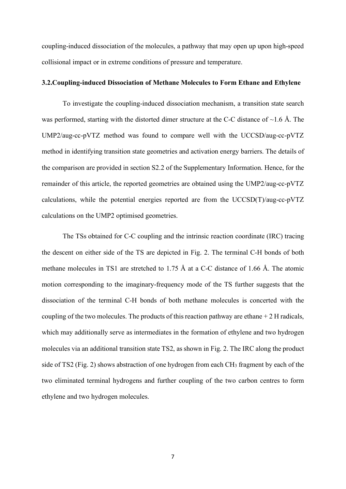coupling-induced dissociation of the molecules, a pathway that may open up upon high-speed collisional impact or in extreme conditions of pressure and temperature.

#### **3.2.Coupling-induced Dissociation of Methane Molecules to Form Ethane and Ethylene**

To investigate the coupling-induced dissociation mechanism, a transition state search was performed, starting with the distorted dimer structure at the C-C distance of  $\sim$ 1.6 Å. The UMP2/aug-cc-pVTZ method was found to compare well with the UCCSD/aug-cc-pVTZ method in identifying transition state geometries and activation energy barriers. The details of the comparison are provided in section S2.2 of the Supplementary Information. Hence, for the remainder of this article, the reported geometries are obtained using the UMP2/aug-cc-pVTZ calculations, while the potential energies reported are from the UCCSD(T)/aug-cc-pVTZ calculations on the UMP2 optimised geometries.

The TSs obtained for C-C coupling and the intrinsic reaction coordinate (IRC) tracing the descent on either side of the TS are depicted in Fig. 2. The terminal C-H bonds of both methane molecules in TS1 are stretched to 1.75 Å at a C-C distance of 1.66 Å. The atomic motion corresponding to the imaginary-frequency mode of the TS further suggests that the dissociation of the terminal C-H bonds of both methane molecules is concerted with the coupling of the two molecules. The products of this reaction pathway are ethane  $+2$  H radicals, which may additionally serve as intermediates in the formation of ethylene and two hydrogen molecules via an additional transition state TS2, as shown in Fig. 2. The IRC along the product side of TS2 (Fig. 2) shows abstraction of one hydrogen from each CH<sub>3</sub> fragment by each of the two eliminated terminal hydrogens and further coupling of the two carbon centres to form ethylene and two hydrogen molecules.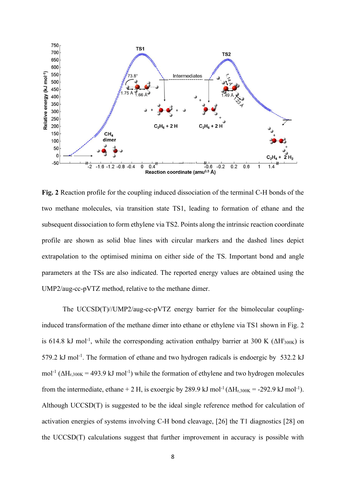

**Fig. 2** Reaction profile for the coupling induced dissociation of the terminal C-H bonds of the two methane molecules, via transition state TS1, leading to formation of ethane and the subsequent dissociation to form ethylene via TS2. Points along the intrinsic reaction coordinate profile are shown as solid blue lines with circular markers and the dashed lines depict extrapolation to the optimised minima on either side of the TS. Important bond and angle parameters at the TSs are also indicated. The reported energy values are obtained using the UMP2/aug-cc-pVTZ method, relative to the methane dimer.

The UCCSD(T)//UMP2/aug-cc-pVTZ energy barrier for the bimolecular couplinginduced transformation of the methane dimer into ethane or ethylene via TS1 shown in Fig. 2 is 614.8 kJ mol<sup>-1</sup>, while the corresponding activation enthalpy barrier at 300 K ( $\Delta H^{\dagger}_{300K}$ ) is 579.2 kJ mol<sup>-1</sup>. The formation of ethane and two hydrogen radicals is endoergic by 532.2 kJ mol<sup>-1</sup> ( $\Delta H_{r,300K}$  = 493.9 kJ mol<sup>-1</sup>) while the formation of ethylene and two hydrogen molecules from the intermediate, ethane + 2 H, is exoergic by 289.9 kJ mol<sup>-1</sup> ( $\Delta H_{r,300K}$  = -292.9 kJ mol<sup>-1</sup>). Although UCCSD(T) is suggested to be the ideal single reference method for calculation of activation energies of systems involving C-H bond cleavage, [26] the T1 diagnostics [28] on the UCCSD(T) calculations suggest that further improvement in accuracy is possible with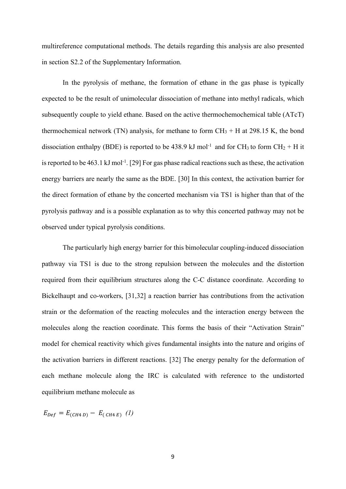multireference computational methods. The details regarding this analysis are also presented in section S2.2 of the Supplementary Information.

In the pyrolysis of methane, the formation of ethane in the gas phase is typically expected to be the result of unimolecular dissociation of methane into methyl radicals, which subsequently couple to yield ethane. Based on the active thermochemochemical table (ATcT) thermochemical network (TN) analysis, for methane to form  $CH_3 + H$  at 298.15 K, the bond dissociation enthalpy (BDE) is reported to be 438.9 kJ mol<sup>-1</sup> and for CH<sub>3</sub> to form CH<sub>2</sub> + H it is reported to be 463.1 kJ mol-1. [29] For gas phase radical reactions such as these, the activation energy barriers are nearly the same as the BDE. [30] In this context, the activation barrier for the direct formation of ethane by the concerted mechanism via TS1 is higher than that of the pyrolysis pathway and is a possible explanation as to why this concerted pathway may not be observed under typical pyrolysis conditions.

The particularly high energy barrier for this bimolecular coupling-induced dissociation pathway via TS1 is due to the strong repulsion between the molecules and the distortion required from their equilibrium structures along the C-C distance coordinate. According to Bickelhaupt and co-workers, [31,32] a reaction barrier has contributions from the activation strain or the deformation of the reacting molecules and the interaction energy between the molecules along the reaction coordinate. This forms the basis of their "Activation Strain" model for chemical reactivity which gives fundamental insights into the nature and origins of the activation barriers in different reactions. [32] The energy penalty for the deformation of each methane molecule along the IRC is calculated with reference to the undistorted equilibrium methane molecule as

 $E_{Def} = E_{(CH4 D)} - E_{(CH4 E)}$  (1)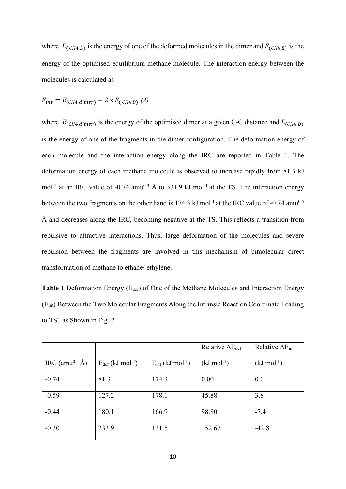where  $E_{(CH4 D)}$  is the energy of one of the deformed molecules in the dimer and  $E_{(CH4 E)}$  is the energy of the optimised equilibrium methane molecule. The interaction energy between the molecules is calculated as

$$
E_{int} = E_{(CH4\ dimer)} - 2 \times E_{(CH4\ D)} (2)
$$

where  $E_{(CH4\ dimer)}$  is the energy of the optimised dimer at a given C-C distance and  $E_{(CH4\ D)}$ is the energy of one of the fragments in the dimer configuration. The deformation energy of each molecule and the interaction energy along the IRC are reported in Table 1. The deformation energy of each methane molecule is observed to increase rapidly from 81.3 kJ mol<sup>-1</sup> at an IRC value of -0.74 amu<sup>0.5</sup> Å to 331.9 kJ mol<sup>-1</sup> at the TS. The interaction energy between the two fragments on the other hand is  $174.3 \text{ kJ}$  mol<sup>-1</sup> at the IRC value of -0.74 amu<sup>0.5</sup> Å and decreases along the IRC, becoming negative at the TS. This reflects a transition from repulsive to attractive interactions. Thus, large deformation of the molecules and severe repulsion between the fragments are involved in this mechanism of bimolecular direct transformation of methane to ethane/ ethylene.

Table 1 Deformation Energy (E<sub>def</sub>) of One of the Methane Molecules and Interaction Energy (Eint) Between the Two Molecular Fragments Along the Intrinsic Reaction Coordinate Leading to TS1 as Shown in Fig. 2.

|                            |                                   |                                   | Relative $\Delta E_{def}$ | Relative $\Delta E_{int}$ |
|----------------------------|-----------------------------------|-----------------------------------|---------------------------|---------------------------|
| IRC (amu <sup>0.5</sup> Å) | $E_{def}$ (kJ mol <sup>-1</sup> ) | $E_{int}$ (kJ mol <sup>-1</sup> ) | $(kJ \text{ mol}^{-1})$   | $(kJ \text{ mol}^{-1})$   |
| $-0.74$                    | 81.3                              | 174.3                             | 0.00                      | 0.0                       |
|                            |                                   |                                   |                           |                           |
| $-0.59$                    | 127.2                             | 178.1                             | 45.88                     | 3.8                       |
|                            |                                   |                                   |                           |                           |
| $-0.44$                    | 180.1                             | 166.9                             | 98.80                     | $-7.4$                    |
|                            |                                   |                                   |                           |                           |
| $-0.30$                    | 233.9                             | 131.5                             | 152.67                    | $-42.8$                   |
|                            |                                   |                                   |                           |                           |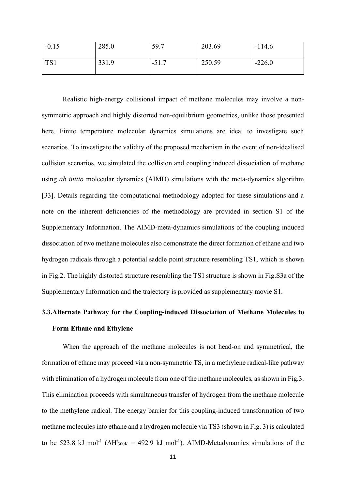| $-0.15$ | 285.0 | 59.7           | 203.69 | $-114.6$ |
|---------|-------|----------------|--------|----------|
| TS1     | 331.9 | 517<br>$-J1.7$ | 250.59 | $-226.0$ |

Realistic high-energy collisional impact of methane molecules may involve a nonsymmetric approach and highly distorted non-equilibrium geometries, unlike those presented here. Finite temperature molecular dynamics simulations are ideal to investigate such scenarios. To investigate the validity of the proposed mechanism in the event of non-idealised collision scenarios, we simulated the collision and coupling induced dissociation of methane using *ab initio* molecular dynamics (AIMD) simulations with the meta-dynamics algorithm [33]. Details regarding the computational methodology adopted for these simulations and a note on the inherent deficiencies of the methodology are provided in section S1 of the Supplementary Information. The AIMD-meta-dynamics simulations of the coupling induced dissociation of two methane molecules also demonstrate the direct formation of ethane and two hydrogen radicals through a potential saddle point structure resembling TS1, which is shown in Fig.2. The highly distorted structure resembling the TS1 structure is shown in Fig.S3a of the Supplementary Information and the trajectory is provided as supplementary movie S1.

## **3.3.Alternate Pathway for the Coupling-induced Dissociation of Methane Molecules to Form Ethane and Ethylene**

When the approach of the methane molecules is not head-on and symmetrical, the formation of ethane may proceed via a non-symmetric TS, in a methylene radical-like pathway with elimination of a hydrogen molecule from one of the methane molecules, as shown in Fig.3. This elimination proceeds with simultaneous transfer of hydrogen from the methane molecule to the methylene radical. The energy barrier for this coupling-induced transformation of two methane molecules into ethane and a hydrogen molecule via TS3 (shown in Fig. 3) is calculated to be 523.8 kJ mol<sup>-1</sup> ( $\Delta H^{\dagger}_{300K}$  = 492.9 kJ mol<sup>-1</sup>). AIMD-Metadynamics simulations of the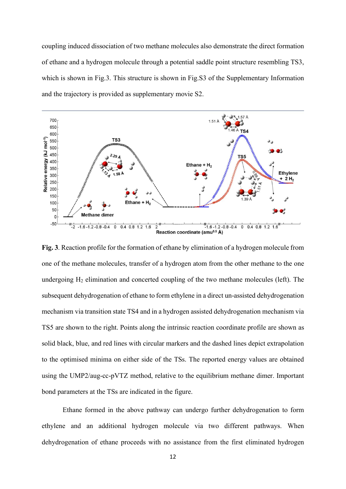coupling induced dissociation of two methane molecules also demonstrate the direct formation of ethane and a hydrogen molecule through a potential saddle point structure resembling TS3, which is shown in Fig.3. This structure is shown in Fig.S3 of the Supplementary Information and the trajectory is provided as supplementary movie S2.



**Fig. 3**. Reaction profile for the formation of ethane by elimination of a hydrogen molecule from one of the methane molecules, transfer of a hydrogen atom from the other methane to the one undergoing  $H_2$  elimination and concerted coupling of the two methane molecules (left). The subsequent dehydrogenation of ethane to form ethylene in a direct un-assisted dehydrogenation mechanism via transition state TS4 and in a hydrogen assisted dehydrogenation mechanism via TS5 are shown to the right. Points along the intrinsic reaction coordinate profile are shown as solid black, blue, and red lines with circular markers and the dashed lines depict extrapolation to the optimised minima on either side of the TSs. The reported energy values are obtained using the UMP2/aug-cc-pVTZ method, relative to the equilibrium methane dimer. Important bond parameters at the TSs are indicated in the figure.

Ethane formed in the above pathway can undergo further dehydrogenation to form ethylene and an additional hydrogen molecule via two different pathways. When dehydrogenation of ethane proceeds with no assistance from the first eliminated hydrogen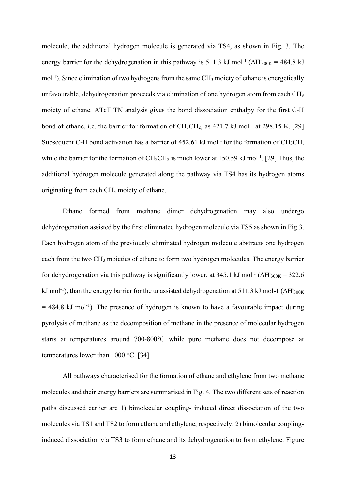molecule, the additional hydrogen molecule is generated via TS4, as shown in Fig. 3. The energy barrier for the dehydrogenation in this pathway is 511.3 kJ mol<sup>-1</sup> ( $\Delta H^{\dagger}_{300K}$  = 484.8 kJ mol<sup>-1</sup>). Since elimination of two hydrogens from the same CH<sub>3</sub> moiety of ethane is energetically unfavourable, dehydrogenation proceeds via elimination of one hydrogen atom from each CH<sup>3</sup> moiety of ethane. ATcT TN analysis gives the bond dissociation enthalpy for the first C-H bond of ethane, i.e. the barrier for formation of  $CH_3CH_2$ , as  $421.7 \text{ kJ}$  mol<sup>-1</sup> at 298.15 K. [29] Subsequent C-H bond activation has a barrier of  $452.61 \text{ kJ}$  mol<sup>-1</sup> for the formation of CH<sub>3</sub>CH, while the barrier for the formation of  $CH_2CH_2$  is much lower at 150.59 kJ mol<sup>-1</sup>. [29] Thus, the additional hydrogen molecule generated along the pathway via TS4 has its hydrogen atoms originating from each CH3 moiety of ethane.

Ethane formed from methane dimer dehydrogenation may also undergo dehydrogenation assisted by the first eliminated hydrogen molecule via TS5 as shown in Fig.3. Each hydrogen atom of the previously eliminated hydrogen molecule abstracts one hydrogen each from the two CH3 moieties of ethane to form two hydrogen molecules. The energy barrier for dehydrogenation via this pathway is significantly lower, at 345.1 kJ mol<sup>-1</sup> ( $\Delta H^{\dagger}_{300K}$  = 322.6 kJ mol<sup>-1</sup>), than the energy barrier for the unassisted dehydrogenation at 511.3 kJ mol-1 ( $\Delta H<sup>†</sup> <sub>300K</sub>$  $= 484.8$  kJ mol<sup>-1</sup>). The presence of hydrogen is known to have a favourable impact during pyrolysis of methane as the decomposition of methane in the presence of molecular hydrogen starts at temperatures around 700-800°C while pure methane does not decompose at temperatures lower than 1000 °C. [34]

All pathways characterised for the formation of ethane and ethylene from two methane molecules and their energy barriers are summarised in Fig. 4. The two different sets of reaction paths discussed earlier are 1) bimolecular coupling- induced direct dissociation of the two molecules via TS1 and TS2 to form ethane and ethylene, respectively; 2) bimolecular couplinginduced dissociation via TS3 to form ethane and its dehydrogenation to form ethylene. Figure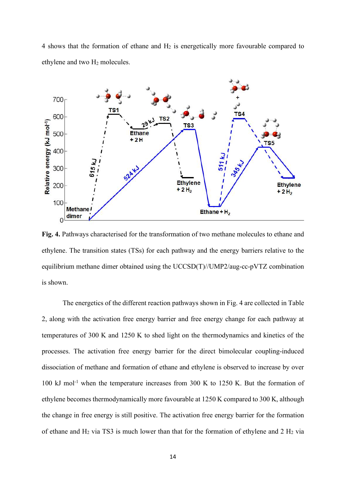4 shows that the formation of ethane and H2 is energetically more favourable compared to ethylene and two H2 molecules.



**Fig. 4.** Pathways characterised for the transformation of two methane molecules to ethane and ethylene. The transition states (TSs) for each pathway and the energy barriers relative to the equilibrium methane dimer obtained using the UCCSD(T)//UMP2/aug-cc-pVTZ combination is shown.

The energetics of the different reaction pathways shown in Fig. 4 are collected in Table 2, along with the activation free energy barrier and free energy change for each pathway at temperatures of 300 K and 1250 K to shed light on the thermodynamics and kinetics of the processes. The activation free energy barrier for the direct bimolecular coupling-induced dissociation of methane and formation of ethane and ethylene is observed to increase by over 100 kJ mol-1 when the temperature increases from 300 K to 1250 K. But the formation of ethylene becomes thermodynamically more favourable at 1250 K compared to 300 K, although the change in free energy is still positive. The activation free energy barrier for the formation of ethane and  $H_2$  via TS3 is much lower than that for the formation of ethylene and 2  $H_2$  via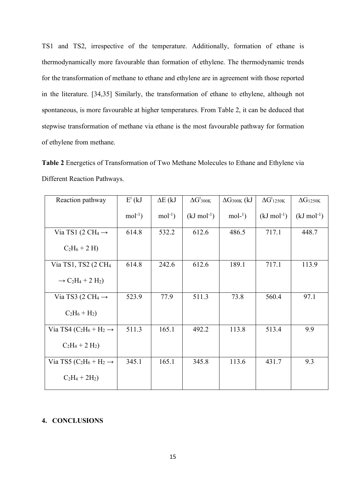TS1 and TS2, irrespective of the temperature. Additionally, formation of ethane is thermodynamically more favourable than formation of ethylene. The thermodynamic trends for the transformation of methane to ethane and ethylene are in agreement with those reported in the literature. [34,35] Similarly, the transformation of ethane to ethylene, although not spontaneous, is more favourable at higher temperatures. From Table 2, it can be deduced that stepwise transformation of methane via ethane is the most favourable pathway for formation of ethylene from methane.

**Table 2** Energetics of Transformation of Two Methane Molecules to Ethane and Ethylene via Different Reaction Pathways.

| Reaction pathway                                                      | $E^*$ (kJ | $\Delta E$ (kJ | $\Delta G^{\dagger}_{300K}$ | $\Delta G_{300K}$ (kJ | $\Delta G^{\dagger}$ 1250K | $\Delta G_{1250K}$      |
|-----------------------------------------------------------------------|-----------|----------------|-----------------------------|-----------------------|----------------------------|-------------------------|
|                                                                       | $mol-1$ ) | $mol-1$ )      | $(kJ \text{ mol}^{-1})$     | $mol-1$ )             | $(kJ \text{ mol}^{-1})$    | $(kJ \text{ mol}^{-1})$ |
| Via TS1 (2 CH <sub>4</sub> $\rightarrow$                              | 614.8     | 532.2          | 612.6                       | 486.5                 | 717.1                      | 448.7                   |
| $C_2H_6 + 2H$                                                         |           |                |                             |                       |                            |                         |
| Via TS1, TS2 (2 CH <sub>4</sub>                                       | 614.8     | 242.6          | 612.6                       | 189.1                 | 717.1                      | 113.9                   |
| $\rightarrow$ C <sub>2</sub> H <sub>4</sub> + 2 H <sub>2</sub> )      |           |                |                             |                       |                            |                         |
| Via TS3 (2 CH <sub>4</sub> $\rightarrow$                              | 523.9     | 77.9           | 511.3                       | 73.8                  | 560.4                      | 97.1                    |
| $C_2H_6 + H_2$                                                        |           |                |                             |                       |                            |                         |
| Via TS4 (C <sub>2</sub> H <sub>6</sub> + H <sub>2</sub> $\rightarrow$ | 511.3     | 165.1          | 492.2                       | 113.8                 | 513.4                      | 9.9                     |
| $C_2H_4 + 2H_2$                                                       |           |                |                             |                       |                            |                         |
| Via TS5 (C <sub>2</sub> H <sub>6</sub> + H <sub>2</sub> $\rightarrow$ | 345.1     | 165.1          | 345.8                       | 113.6                 | 431.7                      | 9.3                     |
| $C_2H_4 + 2H_2$                                                       |           |                |                             |                       |                            |                         |

#### **4. CONCLUSIONS**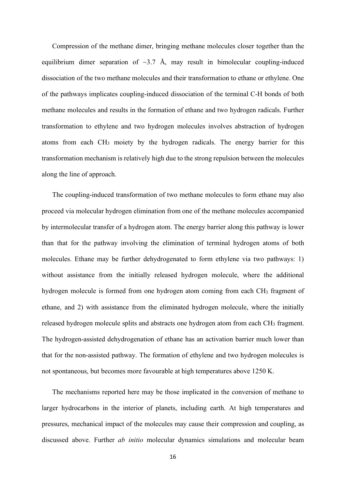Compression of the methane dimer, bringing methane molecules closer together than the equilibrium dimer separation of  $\sim$ 3.7 Å, may result in bimolecular coupling-induced dissociation of the two methane molecules and their transformation to ethane or ethylene. One of the pathways implicates coupling-induced dissociation of the terminal C-H bonds of both methane molecules and results in the formation of ethane and two hydrogen radicals. Further transformation to ethylene and two hydrogen molecules involves abstraction of hydrogen atoms from each CH3 moiety by the hydrogen radicals. The energy barrier for this transformation mechanism is relatively high due to the strong repulsion between the molecules along the line of approach.

The coupling-induced transformation of two methane molecules to form ethane may also proceed via molecular hydrogen elimination from one of the methane molecules accompanied by intermolecular transfer of a hydrogen atom. The energy barrier along this pathway is lower than that for the pathway involving the elimination of terminal hydrogen atoms of both molecules. Ethane may be further dehydrogenated to form ethylene via two pathways: 1) without assistance from the initially released hydrogen molecule, where the additional hydrogen molecule is formed from one hydrogen atom coming from each CH<sub>3</sub> fragment of ethane, and 2) with assistance from the eliminated hydrogen molecule, where the initially released hydrogen molecule splits and abstracts one hydrogen atom from each CH3 fragment. The hydrogen-assisted dehydrogenation of ethane has an activation barrier much lower than that for the non-assisted pathway. The formation of ethylene and two hydrogen molecules is not spontaneous, but becomes more favourable at high temperatures above 1250 K.

The mechanisms reported here may be those implicated in the conversion of methane to larger hydrocarbons in the interior of planets, including earth. At high temperatures and pressures, mechanical impact of the molecules may cause their compression and coupling, as discussed above. Further *ab initio* molecular dynamics simulations and molecular beam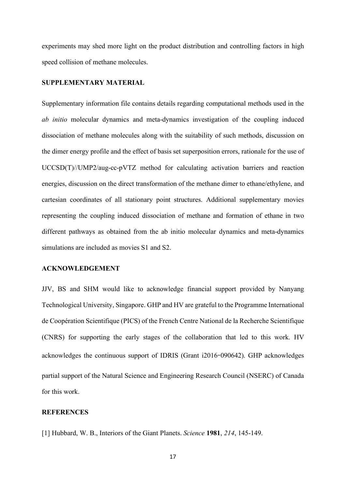experiments may shed more light on the product distribution and controlling factors in high speed collision of methane molecules.

#### **SUPPLEMENTARY MATERIAL**

Supplementary information file contains details regarding computational methods used in the *ab initio* molecular dynamics and meta-dynamics investigation of the coupling induced dissociation of methane molecules along with the suitability of such methods, discussion on the dimer energy profile and the effect of basis set superposition errors, rationale for the use of UCCSD(T)//UMP2/aug-cc-pVTZ method for calculating activation barriers and reaction energies, discussion on the direct transformation of the methane dimer to ethane/ethylene, and cartesian coordinates of all stationary point structures. Additional supplementary movies representing the coupling induced dissociation of methane and formation of ethane in two different pathways as obtained from the ab initio molecular dynamics and meta-dynamics simulations are included as movies S1 and S2.

#### **ACKNOWLEDGEMENT**

JJV, BS and SHM would like to acknowledge financial support provided by Nanyang Technological University, Singapore. GHP and HV are grateful to the Programme International de Coopération Scientifique (PICS) of the French Centre National de la Recherche Scientifique (CNRS) for supporting the early stages of the collaboration that led to this work. HV acknowledges the continuous support of IDRIS (Grant i2016**-**090642). GHP acknowledges partial support of the Natural Science and Engineering Research Council (NSERC) of Canada for this work.

#### **REFERENCES**

[1] Hubbard, W. B., Interiors of the Giant Planets. *Science* **1981**, *214*, 145-149.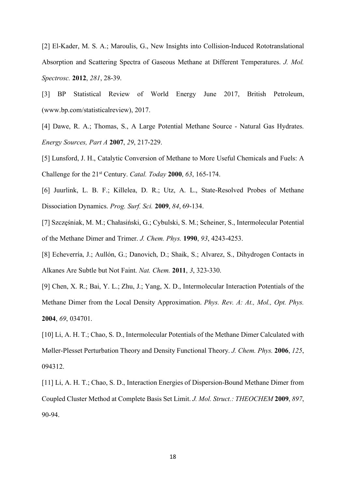[2] El-Kader, M. S. A.; Maroulis, G., New Insights into Collision-Induced Rototranslational Absorption and Scattering Spectra of Gaseous Methane at Different Temperatures. *J. Mol. Spectrosc.* **2012**, *281*, 28-39.

[3] BP Statistical Review of World Energy June 2017, British Petroleum, (www.bp.com/statisticalreview), 2017.

[4] Dawe, R. A.; Thomas, S., A Large Potential Methane Source - Natural Gas Hydrates. *Energy Sources, Part A* **2007**, *29*, 217-229.

[5] Lunsford, J. H., Catalytic Conversion of Methane to More Useful Chemicals and Fuels: A Challenge for the 21st Century. *Catal. Today* **2000**, *63*, 165-174.

[6] Juurlink, L. B. F.; Killelea, D. R.; Utz, A. L., State-Resolved Probes of Methane Dissociation Dynamics. *Prog. Surf. Sci.* **2009**, *84*, 69-134.

[7] Szczęśniak, M. M.; Chałasiński, G.; Cybulski, S. M.; Scheiner, S., Intermolecular Potential of the Methane Dimer and Trimer. *J. Chem. Phys.* **1990**, *93*, 4243-4253.

[8] Echeverría, J.; Aullón, G.; Danovich, D.; Shaik, S.; Alvarez, S., Dihydrogen Contacts in Alkanes Are Subtle but Not Faint. *Nat. Chem.* **2011**, *3*, 323-330.

[9] Chen, X. R.; Bai, Y. L.; Zhu, J.; Yang, X. D., Intermolecular Interaction Potentials of the Methane Dimer from the Local Density Approximation. *Phys. Rev. A: At., Mol., Opt. Phys.*  **2004**, *69*, 034701.

[10] Li, A. H. T.; Chao, S. D., Intermolecular Potentials of the Methane Dimer Calculated with Møller-Plesset Perturbation Theory and Density Functional Theory. *J. Chem. Phys.* **2006**, *125*, 094312.

[11] Li, A. H. T.; Chao, S. D., Interaction Energies of Dispersion-Bound Methane Dimer from Coupled Cluster Method at Complete Basis Set Limit. *J. Mol. Struct.: THEOCHEM* **2009**, *897*, 90-94.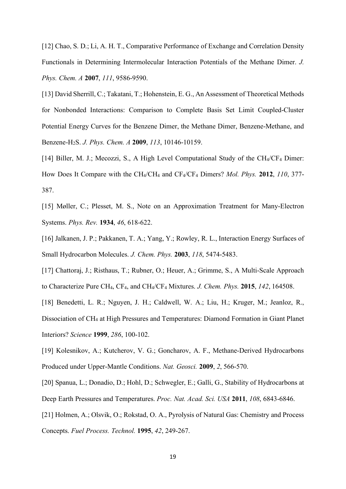[12] Chao, S. D.; Li, A. H. T., Comparative Performance of Exchange and Correlation Density Functionals in Determining Intermolecular Interaction Potentials of the Methane Dimer. *J. Phys. Chem. A* **2007**, *111*, 9586-9590.

[13] David Sherrill, C.; Takatani, T.; Hohenstein, E. G., An Assessment of Theoretical Methods for Nonbonded Interactions: Comparison to Complete Basis Set Limit Coupled-Cluster Potential Energy Curves for the Benzene Dimer, the Methane Dimer, Benzene-Methane, and Benzene-H2S. *J. Phys. Chem. A* **2009**, *113*, 10146-10159.

[14] Biller, M. J.; Mecozzi, S., A High Level Computational Study of the CH<sub>4</sub>/CF<sub>4</sub> Dimer: How Does It Compare with the CH4/CH4 and CF4/CF<sup>4</sup> Dimers? *Mol. Phys.* **2012**, *110*, 377- 387.

[15] Møller, C.; Plesset, M. S., Note on an Approximation Treatment for Many-Electron Systems. *Phys. Rev.* **1934**, *46*, 618-622.

[16] Jalkanen, J. P.; Pakkanen, T. A.; Yang, Y.; Rowley, R. L., Interaction Energy Surfaces of Small Hydrocarbon Molecules. *J. Chem. Phys.* **2003**, *118*, 5474-5483.

[17] Chattoraj, J.; Risthaus, T.; Rubner, O.; Heuer, A.; Grimme, S., A Multi-Scale Approach to Characterize Pure CH4, CF4, and CH4/CF4 Mixtures. *J. Chem. Phys.* **2015**, *142*, 164508.

[18] Benedetti, L. R.; Nguyen, J. H.; Caldwell, W. A.; Liu, H.; Kruger, M.; Jeanloz, R., Dissociation of CH4 at High Pressures and Temperatures: Diamond Formation in Giant Planet Interiors? *Science* **1999**, *286*, 100-102.

[19] Kolesnikov, A.; Kutcherov, V. G.; Goncharov, A. F., Methane-Derived Hydrocarbons Produced under Upper-Mantle Conditions. *Nat. Geosci.* **2009**, *2*, 566-570.

[20] Spanua, L.; Donadio, D.; Hohl, D.; Schwegler, E.; Galli, G., Stability of Hydrocarbons at Deep Earth Pressures and Temperatures. *Proc. Nat. Acad. Sci. USA* **2011**, *108*, 6843-6846.

[21] Holmen, A.; Olsvik, O.; Rokstad, O. A., Pyrolysis of Natural Gas: Chemistry and Process Concepts. *Fuel Process. Technol.* **1995**, *42*, 249-267.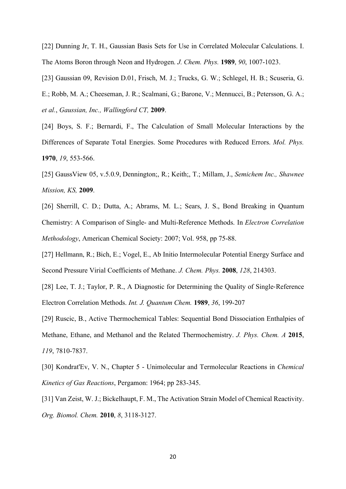[22] Dunning Jr, T. H., Gaussian Basis Sets for Use in Correlated Molecular Calculations. I. The Atoms Boron through Neon and Hydrogen. *J. Chem. Phys.* **1989**, *90*, 1007-1023.

[23] Gaussian 09, Revision D.01, Frisch, M. J.; Trucks, G. W.; Schlegel, H. B.; Scuseria, G. E.; Robb, M. A.; Cheeseman, J. R.; Scalmani, G.; Barone, V.; Mennucci, B.; Petersson, G. A.; *et al.*, *Gaussian, Inc., Wallingford CT,* **2009**.

[24] Boys, S. F.; Bernardi, F., The Calculation of Small Molecular Interactions by the Differences of Separate Total Energies. Some Procedures with Reduced Errors. *Mol. Phys.*  **1970**, *19*, 553-566.

[25] GaussView 05, v.5.0.9, Dennington;, R.; Keith;, T.; Millam, J., *Semichem Inc., Shawnee Mission, KS,* **2009**.

[26] Sherrill, C. D.; Dutta, A.; Abrams, M. L.; Sears, J. S., Bond Breaking in Quantum Chemistry: A Comparison of Single- and Multi-Reference Methods. In *Electron Correlation Methodology*, American Chemical Society: 2007; Vol. 958, pp 75-88.

[27] Hellmann, R.; Bich, E.; Vogel, E., Ab Initio Intermolecular Potential Energy Surface and Second Pressure Virial Coefficients of Methane. *J. Chem. Phys.* **2008**, *128*, 214303.

[28] Lee, T. J.; Taylor, P. R., A Diagnostic for Determining the Quality of Single-Reference Electron Correlation Methods. *Int. J. Quantum Chem.* **1989**, *36*, 199-207

[29] Ruscic, B., Active Thermochemical Tables: Sequential Bond Dissociation Enthalpies of Methane, Ethane, and Methanol and the Related Thermochemistry. *J. Phys. Chem. A* **2015**, *119*, 7810-7837.

[30] Kondrat'Ev, V. N., Chapter 5 - Unimolecular and Termolecular Reactions in *Chemical Kinetics of Gas Reactions*, Pergamon: 1964; pp 283-345.

[31] Van Zeist, W. J.; Bickelhaupt, F. M., The Activation Strain Model of Chemical Reactivity. *Org. Biomol. Chem.* **2010**, *8*, 3118-3127.